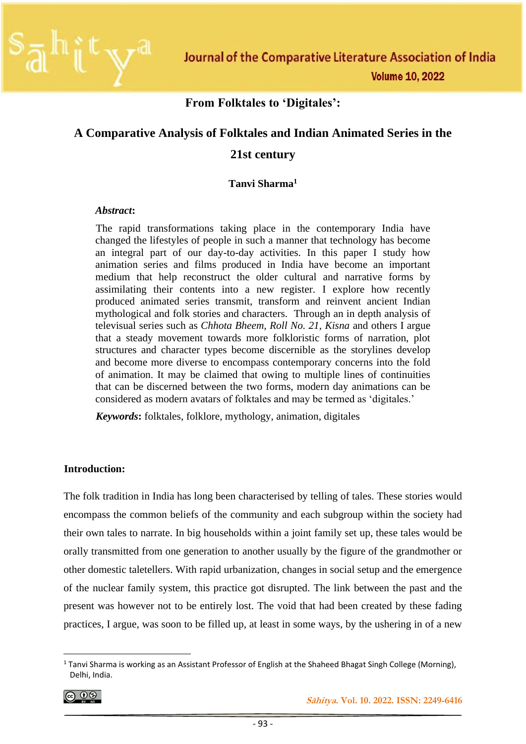#### **From Folktales to 'Digitales':**

# **A Comparative Analysis of Folktales and Indian Animated Series in the 21st century**

#### **Tanvi Sharma<sup>1</sup>**

#### *Abstract***:**

The rapid transformations taking place in the contemporary India have changed the lifestyles of people in such a manner that technology has become an integral part of our day-to-day activities. In this paper I study how animation series and films produced in India have become an important medium that help reconstruct the older cultural and narrative forms by assimilating their contents into a new register. I explore how recently produced animated series transmit, transform and reinvent ancient Indian mythological and folk stories and characters. Through an in depth analysis of televisual series such as *Chhota Bheem, Roll No. 21, Kisna* and others I argue that a steady movement towards more folkloristic forms of narration, plot structures and character types become discernible as the storylines develop and become more diverse to encompass contemporary concerns into the fold of animation. It may be claimed that owing to multiple lines of continuities that can be discerned between the two forms, modern day animations can be considered as modern avatars of folktales and may be termed as 'digitales.'

*Keywords***:** folktales, folklore, mythology, animation, digitales

#### **Introduction:**

The folk tradition in India has long been characterised by telling of tales. These stories would encompass the common beliefs of the community and each subgroup within the society had their own tales to narrate. In big households within a joint family set up, these tales would be orally transmitted from one generation to another usually by the figure of the grandmother or other domestic taletellers. With rapid urbanization, changes in social setup and the emergence of the nuclear family system, this practice got disrupted. The link between the past and the present was however not to be entirely lost. The void that had been created by these fading practices, I argue, was soon to be filled up, at least in some ways, by the ushering in of a new

$$
\textcircled{\tiny{0}}
$$

 $1$  Tanvi Sharma is working as an Assistant Professor of English at the Shaheed Bhagat Singh College (Morning), Delhi, India.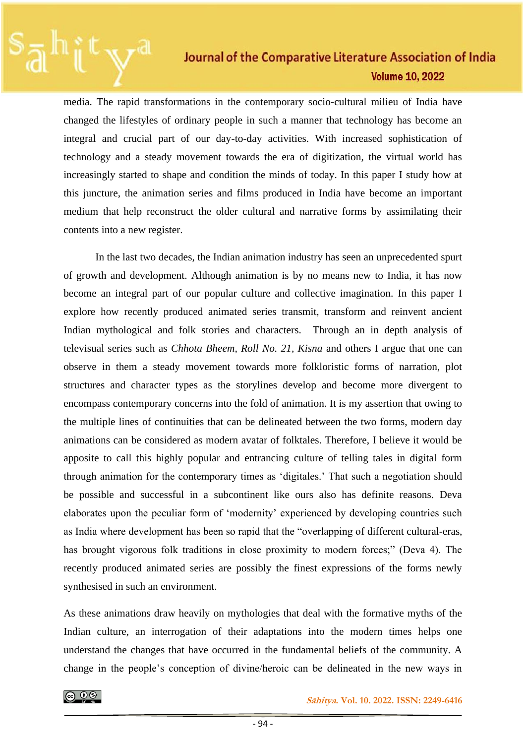media. The rapid transformations in the contemporary socio-cultural milieu of India have changed the lifestyles of ordinary people in such a manner that technology has become an integral and crucial part of our day-to-day activities. With increased sophistication of technology and a steady movement towards the era of digitization, the virtual world has increasingly started to shape and condition the minds of today. In this paper I study how at this juncture, the animation series and films produced in India have become an important medium that help reconstruct the older cultural and narrative forms by assimilating their contents into a new register.

In the last two decades, the Indian animation industry has seen an unprecedented spurt of growth and development. Although animation is by no means new to India, it has now become an integral part of our popular culture and collective imagination. In this paper I explore how recently produced animated series transmit, transform and reinvent ancient Indian mythological and folk stories and characters. Through an in depth analysis of televisual series such as *Chhota Bheem, Roll No. 21, Kisna* and others I argue that one can observe in them a steady movement towards more folkloristic forms of narration, plot structures and character types as the storylines develop and become more divergent to encompass contemporary concerns into the fold of animation. It is my assertion that owing to the multiple lines of continuities that can be delineated between the two forms, modern day animations can be considered as modern avatar of folktales. Therefore, I believe it would be apposite to call this highly popular and entrancing culture of telling tales in digital form through animation for the contemporary times as 'digitales.' That such a negotiation should be possible and successful in a subcontinent like ours also has definite reasons. Deva elaborates upon the peculiar form of 'modernity' experienced by developing countries such as India where development has been so rapid that the "overlapping of different cultural-eras, has brought vigorous folk traditions in close proximity to modern forces;" (Deva 4). The recently produced animated series are possibly the finest expressions of the forms newly synthesised in such an environment.

As these animations draw heavily on mythologies that deal with the formative myths of the Indian culture, an interrogation of their adaptations into the modern times helps one understand the changes that have occurred in the fundamental beliefs of the community. A change in the people's conception of divine/heroic can be delineated in the new ways in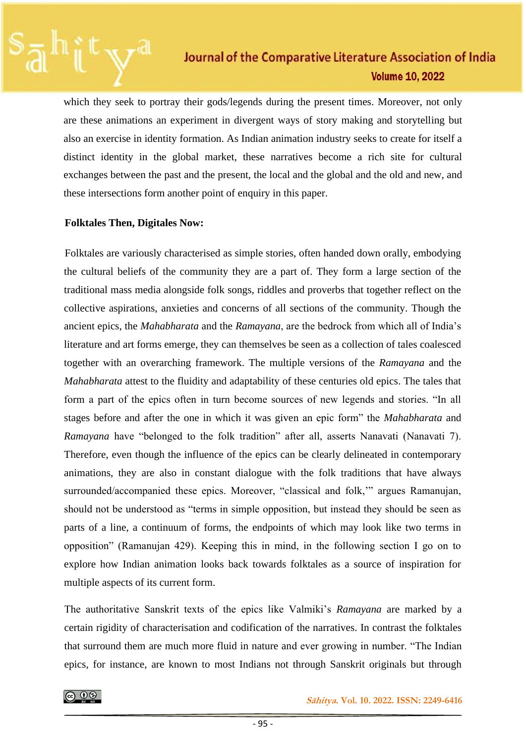which they seek to portray their gods/legends during the present times. Moreover, not only are these animations an experiment in divergent ways of story making and storytelling but also an exercise in identity formation. As Indian animation industry seeks to create for itself a distinct identity in the global market, these narratives become a rich site for cultural exchanges between the past and the present, the local and the global and the old and new, and these intersections form another point of enquiry in this paper.

#### **Folktales Then, Digitales Now:**

Folktales are variously characterised as simple stories, often handed down orally, embodying the cultural beliefs of the community they are a part of. They form a large section of the traditional mass media alongside folk songs, riddles and proverbs that together reflect on the collective aspirations, anxieties and concerns of all sections of the community. Though the ancient epics, the *Mahabharata* and the *Ramayana*, are the bedrock from which all of India's literature and art forms emerge, they can themselves be seen as a collection of tales coalesced together with an overarching framework. The multiple versions of the *Ramayana* and the *Mahabharata* attest to the fluidity and adaptability of these centuries old epics. The tales that form a part of the epics often in turn become sources of new legends and stories. "In all stages before and after the one in which it was given an epic form" the *Mahabharata* and *Ramayana* have "belonged to the folk tradition" after all, asserts Nanavati (Nanavati 7). Therefore, even though the influence of the epics can be clearly delineated in contemporary animations, they are also in constant dialogue with the folk traditions that have always surrounded/accompanied these epics. Moreover, "classical and folk,'" argues Ramanujan, should not be understood as "terms in simple opposition, but instead they should be seen as parts of a line, a continuum of forms, the endpoints of which may look like two terms in opposition" (Ramanujan 429). Keeping this in mind, in the following section I go on to explore how Indian animation looks back towards folktales as a source of inspiration for multiple aspects of its current form.

The authoritative Sanskrit texts of the epics like Valmiki's *Ramayana* are marked by a certain rigidity of characterisation and codification of the narratives. In contrast the folktales that surround them are much more fluid in nature and ever growing in number. "The Indian epics, for instance, are known to most Indians not through Sanskrit originals but through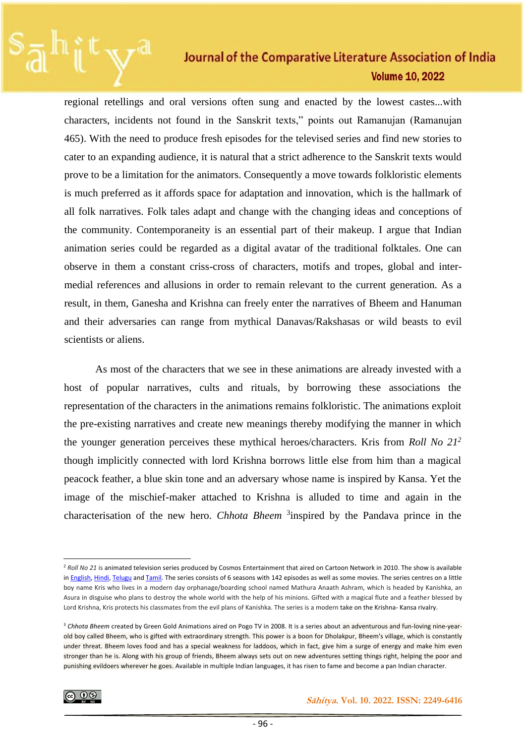regional retellings and oral versions often sung and enacted by the lowest castes...with characters, incidents not found in the Sanskrit texts," points out Ramanujan (Ramanujan 465). With the need to produce fresh episodes for the televised series and find new stories to cater to an expanding audience, it is natural that a strict adherence to the Sanskrit texts would prove to be a limitation for the animators. Consequently a move towards folkloristic elements is much preferred as it affords space for adaptation and innovation, which is the hallmark of all folk narratives. Folk tales adapt and change with the changing ideas and conceptions of the community. Contemporaneity is an essential part of their makeup. I argue that Indian animation series could be regarded as a digital avatar of the traditional folktales. One can observe in them a constant criss-cross of characters, motifs and tropes, global and intermedial references and allusions in order to remain relevant to the current generation. As a result, in them, Ganesha and Krishna can freely enter the narratives of Bheem and Hanuman and their adversaries can range from mythical Danavas/Rakshasas or wild beasts to evil scientists or aliens.

As most of the characters that we see in these animations are already invested with a host of popular narratives, cults and rituals, by borrowing these associations the representation of the characters in the animations remains folkloristic. The animations exploit the pre-existing narratives and create new meanings thereby modifying the manner in which the younger generation perceives these mythical heroes/characters. Kris from *Roll No 21<sup>2</sup>* though implicitly connected with lord Krishna borrows little else from him than a magical peacock feather, a blue skin tone and an adversary whose name is inspired by Kansa. Yet the image of the mischief-maker attached to Krishna is alluded to time and again in the characterisation of the new hero. *Chhota Bheem* <sup>3</sup> inspired by the Pandava prince in the

<sup>2</sup> *Roll No 21* is animated television series produced by Cosmos Entertainment that aired on Cartoon Network in 2010. The show is available in [English,](https://en.wikipedia.org/wiki/English_language) [Hindi,](https://en.wikipedia.org/wiki/Hindi_language) [Telugu](https://en.wikipedia.org/wiki/Telugu_language) and [Tamil.](https://en.wikipedia.org/wiki/Tamil_language) The series consists of 6 seasons with 142 episodes as well as some movies. The series centres on a little boy name Kris who lives in a modern day orphanage/boarding school named Mathura Anaath Ashram, which is headed by Kanishka, an Asura in disguise who plans to destroy the whole world with the help of his minions. Gifted with a magical flute and a feather blessed by Lord Krishna, Kris protects his classmates from the evil plans of Kanishka. The series is a modern take on the Krishna- Kansa rivalry.

<sup>&</sup>lt;sup>3</sup> Chhota Bheem created by Green Gold Animations aired on Pogo TV in 2008. It is a series about an adventurous and fun-loving nine-yearold boy called Bheem, who is gifted with extraordinary strength. This power is a boon for Dholakpur, Bheem's village, which is constantly under threat. Bheem loves food and has a special weakness for laddoos, which in fact, give him a surge of energy and make him even stronger than he is. Along with his group of friends, Bheem always sets out on new adventures setting things right, helping the poor and punishing evildoers wherever he goes. Available in multiple Indian languages, it has risen to fame and become a pan Indian character.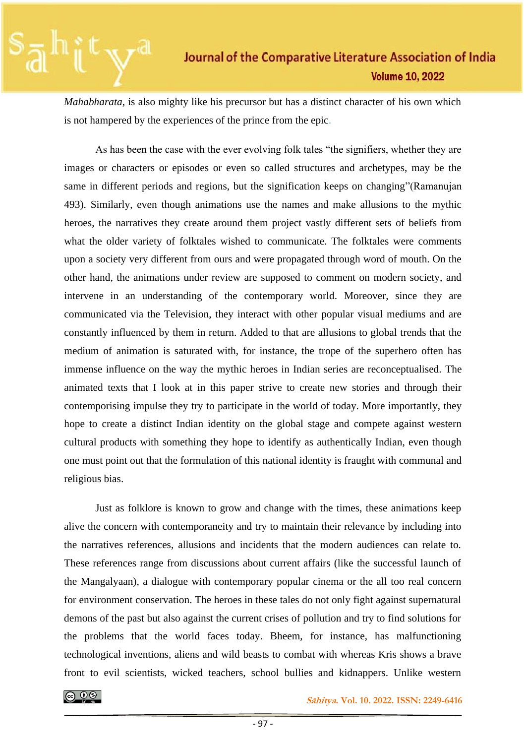*Mahabharata*, is also mighty like his precursor but has a distinct character of his own which is not hampered by the experiences of the prince from the epic.

As has been the case with the ever evolving folk tales "the signifiers, whether they are images or characters or episodes or even so called structures and archetypes, may be the same in different periods and regions, but the signification keeps on changing"(Ramanujan 493). Similarly, even though animations use the names and make allusions to the mythic heroes, the narratives they create around them project vastly different sets of beliefs from what the older variety of folktales wished to communicate. The folktales were comments upon a society very different from ours and were propagated through word of mouth. On the other hand, the animations under review are supposed to comment on modern society, and intervene in an understanding of the contemporary world. Moreover, since they are communicated via the Television, they interact with other popular visual mediums and are constantly influenced by them in return. Added to that are allusions to global trends that the medium of animation is saturated with, for instance, the trope of the superhero often has immense influence on the way the mythic heroes in Indian series are reconceptualised. The animated texts that I look at in this paper strive to create new stories and through their contemporising impulse they try to participate in the world of today. More importantly, they hope to create a distinct Indian identity on the global stage and compete against western cultural products with something they hope to identify as authentically Indian, even though one must point out that the formulation of this national identity is fraught with communal and religious bias.

Just as folklore is known to grow and change with the times, these animations keep alive the concern with contemporaneity and try to maintain their relevance by including into the narratives references, allusions and incidents that the modern audiences can relate to. These references range from discussions about current affairs (like the successful launch of the Mangalyaan), a dialogue with contemporary popular cinema or the all too real concern for environment conservation. The heroes in these tales do not only fight against supernatural demons of the past but also against the current crises of pollution and try to find solutions for the problems that the world faces today. Bheem, for instance, has malfunctioning technological inventions, aliens and wild beasts to combat with whereas Kris shows a brave front to evil scientists, wicked teachers, school bullies and kidnappers. Unlike western

 **<b>8 S** $\xi$  **S** $\xi$  **S** $\xi$  **S** $\xi$  **S** $\xi$  **S** $\xi$  **S** $\xi$  **S** $\xi$  **S** $\xi$  **S** $\xi$  **S** $\xi$  **S** $\xi$  **S** $\xi$  **S** $\xi$  **S** $\xi$  **S** $\xi$  **S** $\xi$  **S** $\xi$  **S** $\xi$  **S** $\xi$  **S** $\xi$  **S**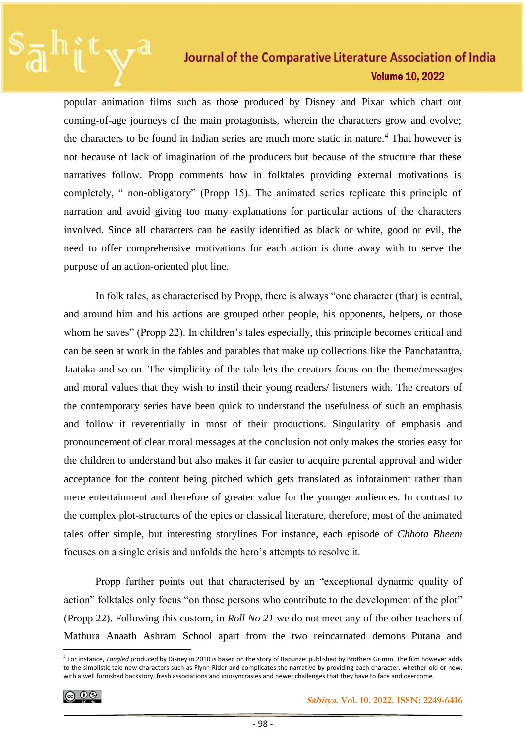popular animation films such as those produced by Disney and Pixar which chart out coming-of-age journeys of the main protagonists, wherein the characters grow and evolve; the characters to be found in Indian series are much more static in nature.<sup>4</sup> That however is not because of lack of imagination of the producers but because of the structure that these narratives follow. Propp comments how in folktales providing external motivations is completely, " non-obligatory" (Propp 15). The animated series replicate this principle of narration and avoid giving too many explanations for particular actions of the characters involved. Since all characters can be easily identified as black or white, good or evil, the need to offer comprehensive motivations for each action is done away with to serve the purpose of an action-oriented plot line.

In folk tales, as characterised by Propp, there is always "one character (that) is central, and around him and his actions are grouped other people, his opponents, helpers, or those whom he saves" (Propp 22). In children's tales especially, this principle becomes critical and can be seen at work in the fables and parables that make up collections like the Panchatantra, Jaataka and so on. The simplicity of the tale lets the creators focus on the theme/messages and moral values that they wish to instil their young readers/ listeners with. The creators of the contemporary series have been quick to understand the usefulness of such an emphasis and follow it reverentially in most of their productions. Singularity of emphasis and pronouncement of clear moral messages at the conclusion not only makes the stories easy for the children to understand but also makes it far easier to acquire parental approval and wider acceptance for the content being pitched which gets translated as infotainment rather than mere entertainment and therefore of greater value for the younger audiences. In contrast to the complex plot-structures of the epics or classical literature, therefore, most of the animated tales offer simple, but interesting storylines For instance, each episode of *Chhota Bheem* focuses on a single crisis and unfolds the hero's attempts to resolve it.

Propp further points out that characterised by an "exceptional dynamic quality of action" folktales only focus "on those persons who contribute to the development of the plot" (Propp 22). Following this custom, in *Roll No 21* we do not meet any of the other teachers of Mathura Anaath Ashram School apart from the two reincarnated demons Putana and

ெ 0

<sup>4</sup> For instance, *Tangled* produced by Disney in 2010 is based on the story of Rapunzel published by Brothers Grimm. The film however adds to the simplistic tale new characters such as Flynn Rider and complicates the narrative by providing each character, whether old or new, with a well furnished backstory, fresh associations and idiosyncrasies and newer challenges that they have to face and overcome.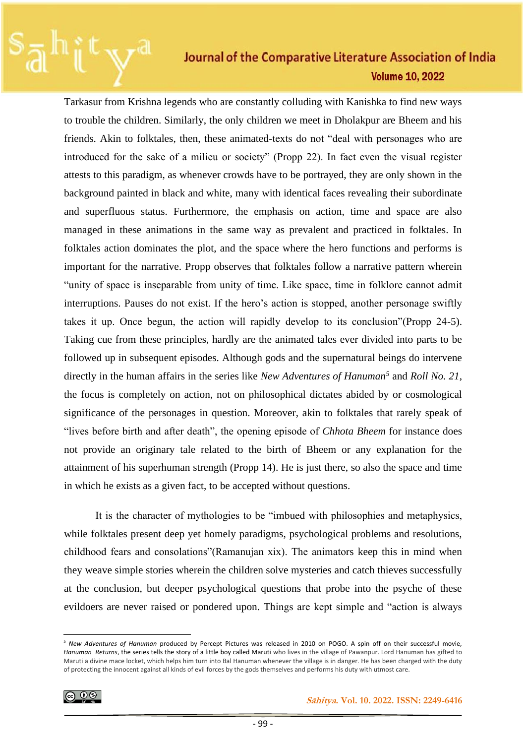Tarkasur from Krishna legends who are constantly colluding with Kanishka to find new ways to trouble the children. Similarly, the only children we meet in Dholakpur are Bheem and his friends. Akin to folktales, then, these animated-texts do not "deal with personages who are introduced for the sake of a milieu or society" (Propp 22). In fact even the visual register attests to this paradigm, as whenever crowds have to be portrayed, they are only shown in the background painted in black and white, many with identical faces revealing their subordinate and superfluous status. Furthermore, the emphasis on action, time and space are also managed in these animations in the same way as prevalent and practiced in folktales. In folktales action dominates the plot, and the space where the hero functions and performs is important for the narrative. Propp observes that folktales follow a narrative pattern wherein "unity of space is inseparable from unity of time. Like space, time in folklore cannot admit interruptions. Pauses do not exist. If the hero's action is stopped, another personage swiftly takes it up. Once begun, the action will rapidly develop to its conclusion"(Propp 24-5). Taking cue from these principles, hardly are the animated tales ever divided into parts to be followed up in subsequent episodes. Although gods and the supernatural beings do intervene directly in the human affairs in the series like *New Adventures of Hanuman<sup>5</sup>* and *Roll No. 21*, the focus is completely on action, not on philosophical dictates abided by or cosmological significance of the personages in question. Moreover, akin to folktales that rarely speak of "lives before birth and after death", the opening episode of *Chhota Bheem* for instance does not provide an originary tale related to the birth of Bheem or any explanation for the attainment of his superhuman strength (Propp 14). He is just there, so also the space and time in which he exists as a given fact, to be accepted without questions.

It is the character of mythologies to be "imbued with philosophies and metaphysics, while folktales present deep yet homely paradigms, psychological problems and resolutions, childhood fears and consolations"(Ramanujan xix). The animators keep this in mind when they weave simple stories wherein the children solve mysteries and catch thieves successfully at the conclusion, but deeper psychological questions that probe into the psyche of these evildoers are never raised or pondered upon. Things are kept simple and "action is always

<sup>5</sup> *New Adventures of Hanuman* produced by Percept Pictures was released in 2010 on POGO. A spin off on their successful movie, *Hanuman Returns*, the series tells the story of a little boy called Maruti who lives in the village of Pawanpur. Lord Hanuman has gifted to Maruti a divine mace locket, which helps him turn into Bal Hanuman whenever the village is in danger. He has been charged with the duty of protecting the innocent against all kinds of evil forces by the gods themselves and performs his duty with utmost care.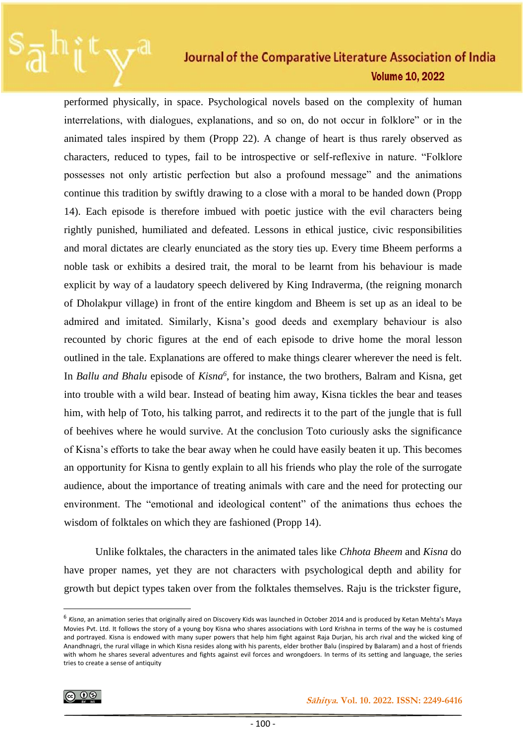performed physically, in space. Psychological novels based on the complexity of human interrelations, with dialogues, explanations, and so on, do not occur in folklore" or in the animated tales inspired by them (Propp 22). A change of heart is thus rarely observed as characters, reduced to types, fail to be introspective or self-reflexive in nature. "Folklore possesses not only artistic perfection but also a profound message" and the animations continue this tradition by swiftly drawing to a close with a moral to be handed down (Propp 14). Each episode is therefore imbued with poetic justice with the evil characters being rightly punished, humiliated and defeated. Lessons in ethical justice, civic responsibilities and moral dictates are clearly enunciated as the story ties up. Every time Bheem performs a noble task or exhibits a desired trait, the moral to be learnt from his behaviour is made explicit by way of a laudatory speech delivered by King Indraverma, (the reigning monarch of Dholakpur village) in front of the entire kingdom and Bheem is set up as an ideal to be admired and imitated. Similarly, Kisna's good deeds and exemplary behaviour is also recounted by choric figures at the end of each episode to drive home the moral lesson outlined in the tale. Explanations are offered to make things clearer wherever the need is felt. In *Ballu and Bhalu* episode of *Kisna<sup>6</sup>* , for instance, the two brothers, Balram and Kisna, get into trouble with a wild bear. Instead of beating him away, Kisna tickles the bear and teases him, with help of Toto, his talking parrot, and redirects it to the part of the jungle that is full of beehives where he would survive. At the conclusion Toto curiously asks the significance of Kisna's efforts to take the bear away when he could have easily beaten it up. This becomes an opportunity for Kisna to gently explain to all his friends who play the role of the surrogate audience, about the importance of treating animals with care and the need for protecting our environment. The "emotional and ideological content" of the animations thus echoes the wisdom of folktales on which they are fashioned (Propp 14).

Unlike folktales, the characters in the animated tales like *Chhota Bheem* and *Kisna* do have proper names, yet they are not characters with psychological depth and ability for growth but depict types taken over from the folktales themselves. Raju is the trickster figure,

<sup>6</sup> *Kisna*, an animation series that originally aired on Discovery Kids was launched in October 2014 and is produced by Ketan Mehta's Maya Movies Pvt. Ltd. It follows the story of a young boy Kisna who shares associations with Lord Krishna in terms of the way he is costumed and portrayed. Kisna is endowed with many super powers that help him fight against Raja Durjan, his arch rival and the wicked king of Anandhnagri, the rural village in which Kisna resides along with his parents, elder brother Balu (inspired by Balaram) and a host of friends with whom he shares several adventures and fights against evil forces and wrongdoers. In terms of its setting and language, the series tries to create a sense of antiquity

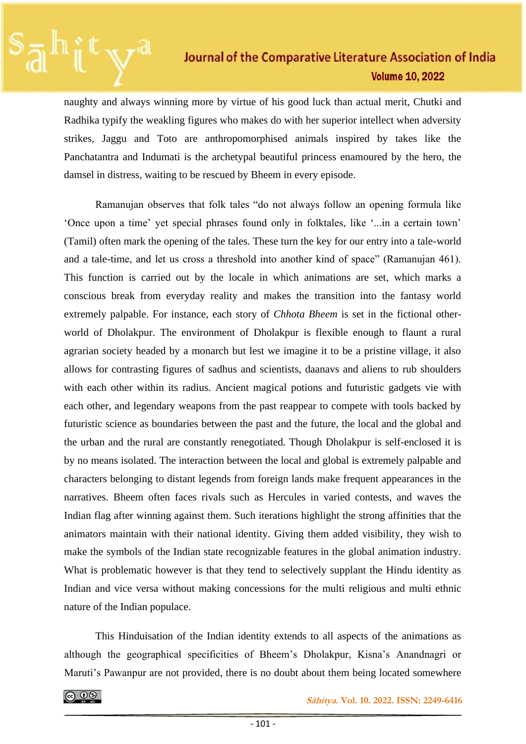naughty and always winning more by virtue of his good luck than actual merit, Chutki and Radhika typify the weakling figures who makes do with her superior intellect when adversity strikes, Jaggu and Toto are anthropomorphised animals inspired by takes like the Panchatantra and Indumati is the archetypal beautiful princess enamoured by the hero, the damsel in distress, waiting to be rescued by Bheem in every episode.

Ramanujan observes that folk tales "do not always follow an opening formula like 'Once upon a time' yet special phrases found only in folktales, like '...in a certain town' (Tamil) often mark the opening of the tales. These turn the key for our entry into a tale-world and a tale-time, and let us cross a threshold into another kind of space" (Ramanujan 461). This function is carried out by the locale in which animations are set, which marks a conscious break from everyday reality and makes the transition into the fantasy world extremely palpable. For instance, each story of *Chhota Bheem* is set in the fictional otherworld of Dholakpur. The environment of Dholakpur is flexible enough to flaunt a rural agrarian society headed by a monarch but lest we imagine it to be a pristine village, it also allows for contrasting figures of sadhus and scientists, daanavs and aliens to rub shoulders with each other within its radius. Ancient magical potions and futuristic gadgets vie with each other, and legendary weapons from the past reappear to compete with tools backed by futuristic science as boundaries between the past and the future, the local and the global and the urban and the rural are constantly renegotiated. Though Dholakpur is self-enclosed it is by no means isolated. The interaction between the local and global is extremely palpable and characters belonging to distant legends from foreign lands make frequent appearances in the narratives. Bheem often faces rivals such as Hercules in varied contests, and waves the Indian flag after winning against them. Such iterations highlight the strong affinities that the animators maintain with their national identity. Giving them added visibility, they wish to make the symbols of the Indian state recognizable features in the global animation industry. What is problematic however is that they tend to selectively supplant the Hindu identity as Indian and vice versa without making concessions for the multi religious and multi ethnic nature of the Indian populace.

This Hinduisation of the Indian identity extends to all aspects of the animations as although the geographical specificities of Bheem's Dholakpur, Kisna's Anandnagri or Maruti's Pawanpur are not provided, there is no doubt about them being located somewhere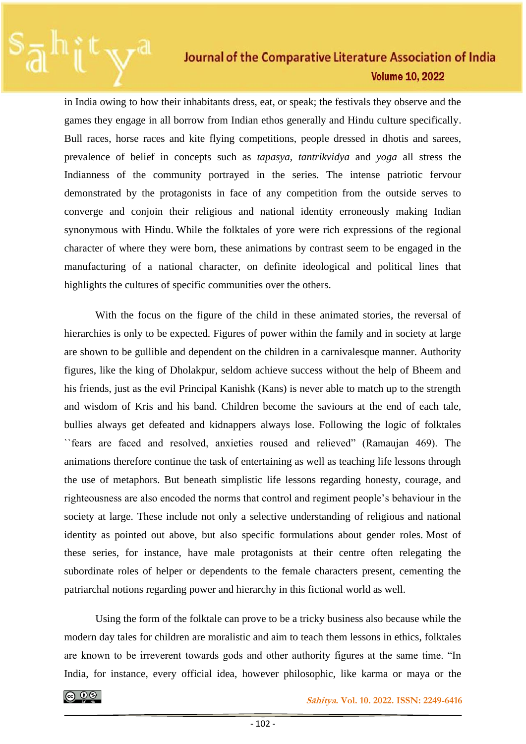in India owing to how their inhabitants dress, eat, or speak; the festivals they observe and the games they engage in all borrow from Indian ethos generally and Hindu culture specifically. Bull races, horse races and kite flying competitions, people dressed in dhotis and sarees, prevalence of belief in concepts such as *tapasya, tantrikvidya* and *yoga* all stress the Indianness of the community portrayed in the series. The intense patriotic fervour demonstrated by the protagonists in face of any competition from the outside serves to converge and conjoin their religious and national identity erroneously making Indian synonymous with Hindu. While the folktales of yore were rich expressions of the regional character of where they were born, these animations by contrast seem to be engaged in the manufacturing of a national character, on definite ideological and political lines that highlights the cultures of specific communities over the others.

With the focus on the figure of the child in these animated stories, the reversal of hierarchies is only to be expected. Figures of power within the family and in society at large are shown to be gullible and dependent on the children in a carnivalesque manner. Authority figures, like the king of Dholakpur, seldom achieve success without the help of Bheem and his friends, just as the evil Principal Kanishk (Kans) is never able to match up to the strength and wisdom of Kris and his band. Children become the saviours at the end of each tale, bullies always get defeated and kidnappers always lose. Following the logic of folktales ``fears are faced and resolved, anxieties roused and relieved" (Ramaujan 469). The animations therefore continue the task of entertaining as well as teaching life lessons through the use of metaphors. But beneath simplistic life lessons regarding honesty, courage, and righteousness are also encoded the norms that control and regiment people's behaviour in the society at large. These include not only a selective understanding of religious and national identity as pointed out above, but also specific formulations about gender roles. Most of these series, for instance, have male protagonists at their centre often relegating the subordinate roles of helper or dependents to the female characters present, cementing the patriarchal notions regarding power and hierarchy in this fictional world as well.

Using the form of the folktale can prove to be a tricky business also because while the modern day tales for children are moralistic and aim to teach them lessons in ethics, folktales are known to be irreverent towards gods and other authority figures at the same time. "In India, for instance, every official idea, however philosophic, like karma or maya or the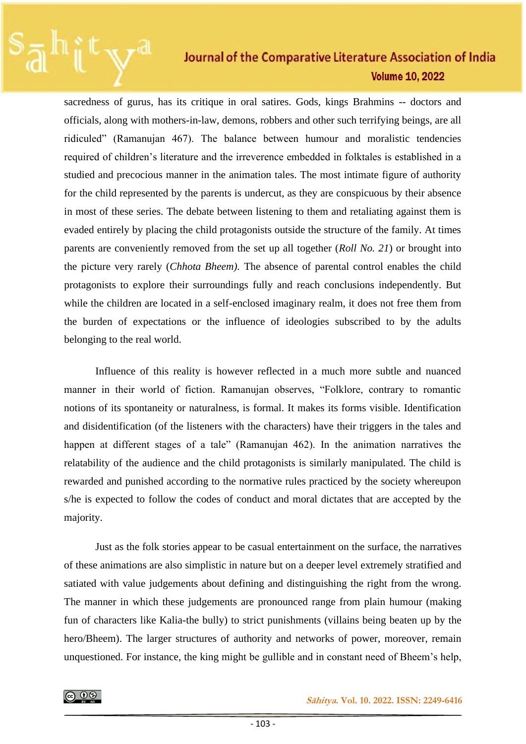sacredness of gurus, has its critique in oral satires. Gods, kings Brahmins -- doctors and officials, along with mothers-in-law, demons, robbers and other such terrifying beings, are all ridiculed" (Ramanujan 467). The balance between humour and moralistic tendencies required of children's literature and the irreverence embedded in folktales is established in a studied and precocious manner in the animation tales. The most intimate figure of authority for the child represented by the parents is undercut, as they are conspicuous by their absence in most of these series. The debate between listening to them and retaliating against them is evaded entirely by placing the child protagonists outside the structure of the family. At times parents are conveniently removed from the set up all together (*Roll No. 21*) or brought into the picture very rarely (*Chhota Bheem).* The absence of parental control enables the child protagonists to explore their surroundings fully and reach conclusions independently. But while the children are located in a self-enclosed imaginary realm, it does not free them from the burden of expectations or the influence of ideologies subscribed to by the adults belonging to the real world.

Influence of this reality is however reflected in a much more subtle and nuanced manner in their world of fiction. Ramanujan observes, "Folklore, contrary to romantic notions of its spontaneity or naturalness, is formal. It makes its forms visible. Identification and disidentification (of the listeners with the characters) have their triggers in the tales and happen at different stages of a tale" (Ramanujan 462). In the animation narratives the relatability of the audience and the child protagonists is similarly manipulated. The child is rewarded and punished according to the normative rules practiced by the society whereupon s/he is expected to follow the codes of conduct and moral dictates that are accepted by the majority.

Just as the folk stories appear to be casual entertainment on the surface, the narratives of these animations are also simplistic in nature but on a deeper level extremely stratified and satiated with value judgements about defining and distinguishing the right from the wrong. The manner in which these judgements are pronounced range from plain humour (making fun of characters like Kalia-the bully) to strict punishments (villains being beaten up by the hero/Bheem). The larger structures of authority and networks of power, moreover, remain unquestioned. For instance, the king might be gullible and in constant need of Bheem's help,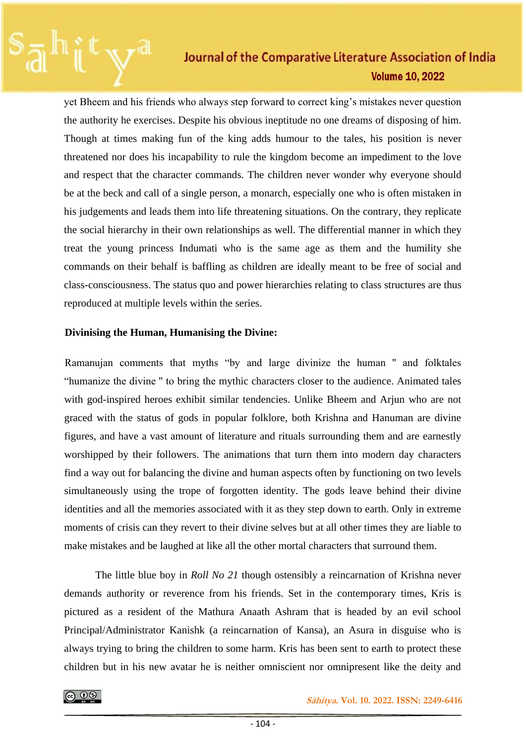yet Bheem and his friends who always step forward to correct king's mistakes never question the authority he exercises. Despite his obvious ineptitude no one dreams of disposing of him. Though at times making fun of the king adds humour to the tales, his position is never threatened nor does his incapability to rule the kingdom become an impediment to the love and respect that the character commands. The children never wonder why everyone should be at the beck and call of a single person, a monarch, especially one who is often mistaken in his judgements and leads them into life threatening situations. On the contrary, they replicate the social hierarchy in their own relationships as well. The differential manner in which they treat the young princess Indumati who is the same age as them and the humility she commands on their behalf is baffling as children are ideally meant to be free of social and class-consciousness. The status quo and power hierarchies relating to class structures are thus reproduced at multiple levels within the series.

#### **Divinising the Human, Humanising the Divine:**

Ramanujan comments that myths "by and large divinize the human '' and folktales "humanize the divine '' to bring the mythic characters closer to the audience. Animated tales with god-inspired heroes exhibit similar tendencies. Unlike Bheem and Arjun who are not graced with the status of gods in popular folklore, both Krishna and Hanuman are divine figures, and have a vast amount of literature and rituals surrounding them and are earnestly worshipped by their followers. The animations that turn them into modern day characters find a way out for balancing the divine and human aspects often by functioning on two levels simultaneously using the trope of forgotten identity. The gods leave behind their divine identities and all the memories associated with it as they step down to earth. Only in extreme moments of crisis can they revert to their divine selves but at all other times they are liable to make mistakes and be laughed at like all the other mortal characters that surround them.

The little blue boy in *Roll No 21* though ostensibly a reincarnation of Krishna never demands authority or reverence from his friends. Set in the contemporary times, Kris is pictured as a resident of the Mathura Anaath Ashram that is headed by an evil school Principal/Administrator Kanishk (a reincarnation of Kansa), an Asura in disguise who is always trying to bring the children to some harm. Kris has been sent to earth to protect these children but in his new avatar he is neither omniscient nor omnipresent like the deity and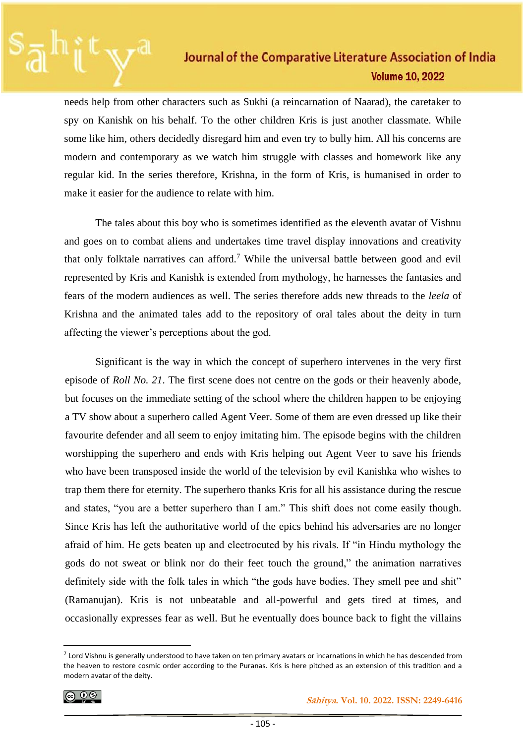needs help from other characters such as Sukhi (a reincarnation of Naarad), the caretaker to spy on Kanishk on his behalf. To the other children Kris is just another classmate. While some like him, others decidedly disregard him and even try to bully him. All his concerns are modern and contemporary as we watch him struggle with classes and homework like any regular kid. In the series therefore, Krishna, in the form of Kris, is humanised in order to make it easier for the audience to relate with him.

The tales about this boy who is sometimes identified as the eleventh avatar of Vishnu and goes on to combat aliens and undertakes time travel display innovations and creativity that only folktale narratives can afford.<sup>7</sup> While the universal battle between good and evil represented by Kris and Kanishk is extended from mythology, he harnesses the fantasies and fears of the modern audiences as well. The series therefore adds new threads to the *leela* of Krishna and the animated tales add to the repository of oral tales about the deity in turn affecting the viewer's perceptions about the god.

Significant is the way in which the concept of superhero intervenes in the very first episode of *Roll No. 21*. The first scene does not centre on the gods or their heavenly abode, but focuses on the immediate setting of the school where the children happen to be enjoying a TV show about a superhero called Agent Veer. Some of them are even dressed up like their favourite defender and all seem to enjoy imitating him. The episode begins with the children worshipping the superhero and ends with Kris helping out Agent Veer to save his friends who have been transposed inside the world of the television by evil Kanishka who wishes to trap them there for eternity. The superhero thanks Kris for all his assistance during the rescue and states, "you are a better superhero than I am." This shift does not come easily though. Since Kris has left the authoritative world of the epics behind his adversaries are no longer afraid of him. He gets beaten up and electrocuted by his rivals. If "in Hindu mythology the gods do not sweat or blink nor do their feet touch the ground," the animation narratives definitely side with the folk tales in which "the gods have bodies. They smell pee and shit" (Ramanujan). Kris is not unbeatable and all-powerful and gets tired at times, and occasionally expresses fear as well. But he eventually does bounce back to fight the villains

$$
\textcircled{\tiny{0}}
$$

 $<sup>7</sup>$  Lord Vishnu is generally understood to have taken on ten primary avatars or incarnations in which he has descended from</sup> the heaven to restore cosmic order according to the Puranas. Kris is here pitched as an extension of this tradition and a modern avatar of the deity.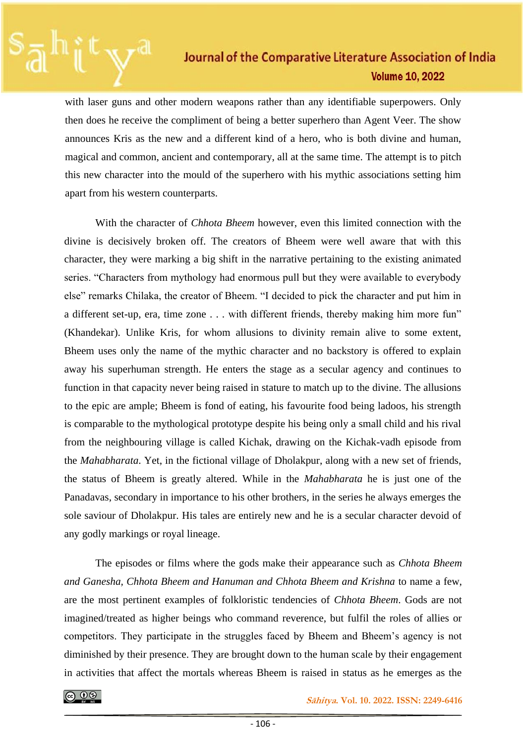with laser guns and other modern weapons rather than any identifiable superpowers. Only then does he receive the compliment of being a better superhero than Agent Veer. The show announces Kris as the new and a different kind of a hero, who is both divine and human, magical and common, ancient and contemporary, all at the same time. The attempt is to pitch this new character into the mould of the superhero with his mythic associations setting him apart from his western counterparts.

With the character of *Chhota Bheem* however, even this limited connection with the divine is decisively broken off. The creators of Bheem were well aware that with this character, they were marking a big shift in the narrative pertaining to the existing animated series. "Characters from mythology had enormous pull but they were available to everybody else" remarks Chilaka, the creator of Bheem. "I decided to pick the character and put him in a different set-up, era, time zone . . . with different friends, thereby making him more fun" (Khandekar). Unlike Kris, for whom allusions to divinity remain alive to some extent, Bheem uses only the name of the mythic character and no backstory is offered to explain away his superhuman strength. He enters the stage as a secular agency and continues to function in that capacity never being raised in stature to match up to the divine. The allusions to the epic are ample; Bheem is fond of eating, his favourite food being ladoos, his strength is comparable to the mythological prototype despite his being only a small child and his rival from the neighbouring village is called Kichak, drawing on the Kichak-vadh episode from the *Mahabharata*. Yet, in the fictional village of Dholakpur, along with a new set of friends, the status of Bheem is greatly altered. While in the *Mahabharata* he is just one of the Panadavas, secondary in importance to his other brothers, in the series he always emerges the sole saviour of Dholakpur. His tales are entirely new and he is a secular character devoid of any godly markings or royal lineage.

The episodes or films where the gods make their appearance such as *Chhota Bheem and Ganesha, Chhota Bheem and Hanuman and Chhota Bheem and Krishna* to name a few, are the most pertinent examples of folkloristic tendencies of *Chhota Bheem*. Gods are not imagined/treated as higher beings who command reverence, but fulfil the roles of allies or competitors. They participate in the struggles faced by Bheem and Bheem's agency is not diminished by their presence. They are brought down to the human scale by their engagement in activities that affect the mortals whereas Bheem is raised in status as he emerges as the

 **<u>C**  $\frac{1}{2}$   $\frac{1}{2}$   $\frac{1}{2}$   $\frac{1}{2}$   $\frac{1}{2}$   $\frac{1}{2}$   $\frac{1}{2}$   $\frac{1}{2}$   $\frac{1}{2}$   $\frac{1}{2}$   $\frac{1}{2}$   $\frac{1}{2}$   $\frac{1}{2}$   $\frac{1}{2}$   $\frac{1}{2}$   $\frac{1}{2}$   $\frac{1}{2}$   $\frac{1}{2}$   $\frac{1}{2}$   $\frac{1}{2}$   $\frac{1}{2}$   $\frac{1}{$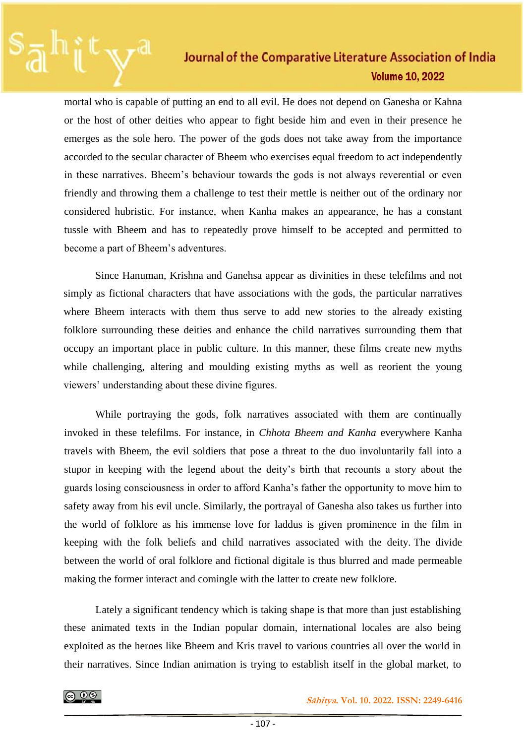mortal who is capable of putting an end to all evil. He does not depend on Ganesha or Kahna or the host of other deities who appear to fight beside him and even in their presence he emerges as the sole hero. The power of the gods does not take away from the importance accorded to the secular character of Bheem who exercises equal freedom to act independently in these narratives. Bheem's behaviour towards the gods is not always reverential or even friendly and throwing them a challenge to test their mettle is neither out of the ordinary nor considered hubristic. For instance, when Kanha makes an appearance, he has a constant tussle with Bheem and has to repeatedly prove himself to be accepted and permitted to become a part of Bheem's adventures.

Since Hanuman, Krishna and Ganehsa appear as divinities in these telefilms and not simply as fictional characters that have associations with the gods, the particular narratives where Bheem interacts with them thus serve to add new stories to the already existing folklore surrounding these deities and enhance the child narratives surrounding them that occupy an important place in public culture. In this manner, these films create new myths while challenging, altering and moulding existing myths as well as reorient the young viewers' understanding about these divine figures.

While portraying the gods, folk narratives associated with them are continually invoked in these telefilms. For instance, in *Chhota Bheem and Kanha* everywhere Kanha travels with Bheem, the evil soldiers that pose a threat to the duo involuntarily fall into a stupor in keeping with the legend about the deity's birth that recounts a story about the guards losing consciousness in order to afford Kanha's father the opportunity to move him to safety away from his evil uncle. Similarly, the portrayal of Ganesha also takes us further into the world of folklore as his immense love for laddus is given prominence in the film in keeping with the folk beliefs and child narratives associated with the deity. The divide between the world of oral folklore and fictional digitale is thus blurred and made permeable making the former interact and comingle with the latter to create new folklore.

Lately a significant tendency which is taking shape is that more than just establishing these animated texts in the Indian popular domain, international locales are also being exploited as the heroes like Bheem and Kris travel to various countries all over the world in their narratives. Since Indian animation is trying to establish itself in the global market, to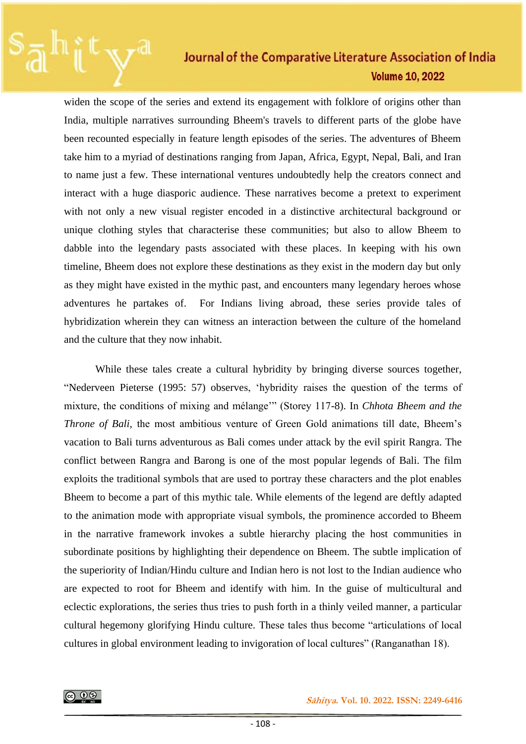widen the scope of the series and extend its engagement with folklore of origins other than India, multiple narratives surrounding Bheem's travels to different parts of the globe have been recounted especially in feature length episodes of the series. The adventures of Bheem take him to a myriad of destinations ranging from Japan, Africa, Egypt, Nepal, Bali, and Iran to name just a few. These international ventures undoubtedly help the creators connect and interact with a huge diasporic audience. These narratives become a pretext to experiment with not only a new visual register encoded in a distinctive architectural background or unique clothing styles that characterise these communities; but also to allow Bheem to dabble into the legendary pasts associated with these places. In keeping with his own timeline, Bheem does not explore these destinations as they exist in the modern day but only as they might have existed in the mythic past, and encounters many legendary heroes whose adventures he partakes of. For Indians living abroad, these series provide tales of hybridization wherein they can witness an interaction between the culture of the homeland and the culture that they now inhabit.

While these tales create a cultural hybridity by bringing diverse sources together, "Nederveen Pieterse (1995: 57) observes, 'hybridity raises the question of the terms of mixture, the conditions of mixing and mélange'" (Storey 117-8). In *Chhota Bheem and the Throne of Bali,* the most ambitious venture of Green Gold animations till date, Bheem's vacation to Bali turns adventurous as Bali comes under attack by the evil spirit Rangra. The conflict between Rangra and Barong is one of the most popular legends of Bali. The film exploits the traditional symbols that are used to portray these characters and the plot enables Bheem to become a part of this mythic tale. While elements of the legend are deftly adapted to the animation mode with appropriate visual symbols, the prominence accorded to Bheem in the narrative framework invokes a subtle hierarchy placing the host communities in subordinate positions by highlighting their dependence on Bheem. The subtle implication of the superiority of Indian/Hindu culture and Indian hero is not lost to the Indian audience who are expected to root for Bheem and identify with him. In the guise of multicultural and eclectic explorations, the series thus tries to push forth in a thinly veiled manner, a particular cultural hegemony glorifying Hindu culture. These tales thus become "articulations of local cultures in global environment leading to invigoration of local cultures" (Ranganathan 18).

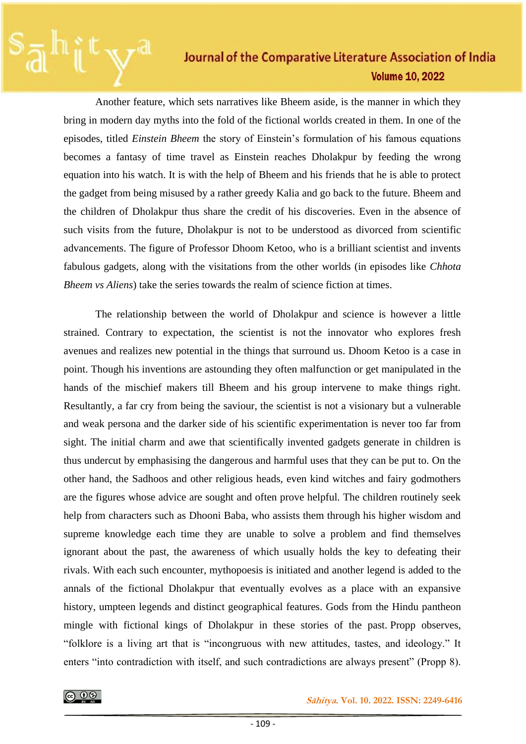Another feature, which sets narratives like Bheem aside, is the manner in which they bring in modern day myths into the fold of the fictional worlds created in them. In one of the episodes, titled *Einstein Bheem* the story of Einstein's formulation of his famous equations becomes a fantasy of time travel as Einstein reaches Dholakpur by feeding the wrong equation into his watch. It is with the help of Bheem and his friends that he is able to protect the gadget from being misused by a rather greedy Kalia and go back to the future. Bheem and the children of Dholakpur thus share the credit of his discoveries. Even in the absence of such visits from the future, Dholakpur is not to be understood as divorced from scientific advancements. The figure of Professor Dhoom Ketoo, who is a brilliant scientist and invents fabulous gadgets, along with the visitations from the other worlds (in episodes like *Chhota Bheem vs Aliens*) take the series towards the realm of science fiction at times.

The relationship between the world of Dholakpur and science is however a little strained. Contrary to expectation, the scientist is not the innovator who explores fresh avenues and realizes new potential in the things that surround us. Dhoom Ketoo is a case in point. Though his inventions are astounding they often malfunction or get manipulated in the hands of the mischief makers till Bheem and his group intervene to make things right. Resultantly, a far cry from being the saviour, the scientist is not a visionary but a vulnerable and weak persona and the darker side of his scientific experimentation is never too far from sight. The initial charm and awe that scientifically invented gadgets generate in children is thus undercut by emphasising the dangerous and harmful uses that they can be put to. On the other hand, the Sadhoos and other religious heads, even kind witches and fairy godmothers are the figures whose advice are sought and often prove helpful. The children routinely seek help from characters such as Dhooni Baba, who assists them through his higher wisdom and supreme knowledge each time they are unable to solve a problem and find themselves ignorant about the past, the awareness of which usually holds the key to defeating their rivals. With each such encounter, mythopoesis is initiated and another legend is added to the annals of the fictional Dholakpur that eventually evolves as a place with an expansive history, umpteen legends and distinct geographical features. Gods from the Hindu pantheon mingle with fictional kings of Dholakpur in these stories of the past. Propp observes, "folklore is a living art that is "incongruous with new attitudes, tastes, and ideology." It enters "into contradiction with itself, and such contradictions are always present" (Propp 8).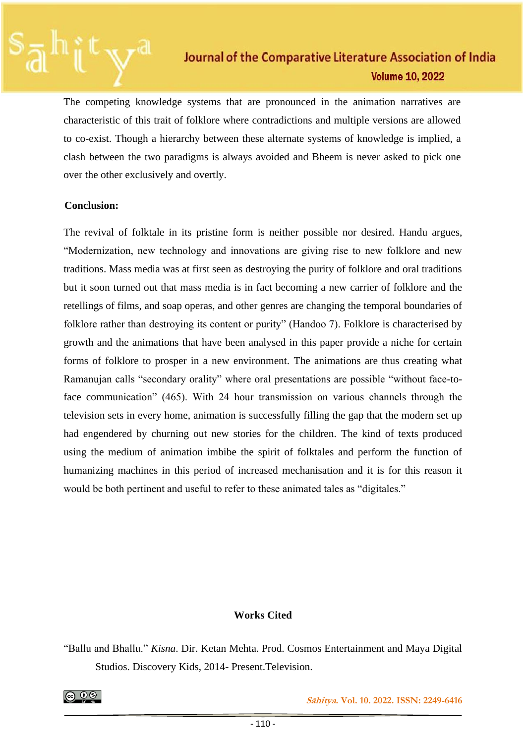The competing knowledge systems that are pronounced in the animation narratives are characteristic of this trait of folklore where contradictions and multiple versions are allowed to co-exist. Though a hierarchy between these alternate systems of knowledge is implied, a clash between the two paradigms is always avoided and Bheem is never asked to pick one over the other exclusively and overtly.

#### **Conclusion:**

The revival of folktale in its pristine form is neither possible nor desired. Handu argues, "Modernization, new technology and innovations are giving rise to new folklore and new traditions. Mass media was at first seen as destroying the purity of folklore and oral traditions but it soon turned out that mass media is in fact becoming a new carrier of folklore and the retellings of films, and soap operas, and other genres are changing the temporal boundaries of folklore rather than destroying its content or purity" (Handoo 7). Folklore is characterised by growth and the animations that have been analysed in this paper provide a niche for certain forms of folklore to prosper in a new environment. The animations are thus creating what Ramanujan calls "secondary orality" where oral presentations are possible "without face-toface communication" (465). With 24 hour transmission on various channels through the television sets in every home, animation is successfully filling the gap that the modern set up had engendered by churning out new stories for the children. The kind of texts produced using the medium of animation imbibe the spirit of folktales and perform the function of humanizing machines in this period of increased mechanisation and it is for this reason it would be both pertinent and useful to refer to these animated tales as "digitales."

#### **Works Cited**

"Ballu and Bhallu." *Kisna*. Dir. Ketan Mehta. Prod. Cosmos Entertainment and Maya Digital Studios. Discovery Kids, 2014- Present.Television.

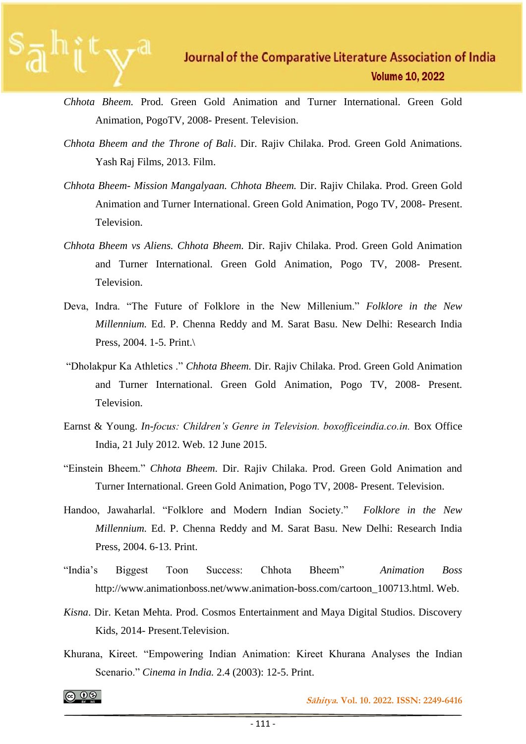- *Chhota Bheem.* Prod. Green Gold Animation and Turner International. Green Gold Animation, PogoTV, 2008- Present. Television.
- *Chhota Bheem and the Throne of Bali*. Dir. Rajiv Chilaka. Prod. Green Gold Animations. Yash Raj Films, 2013. Film.
- *Chhota Bheem- Mission Mangalyaan. Chhota Bheem.* Dir. Rajiv Chilaka. Prod. Green Gold Animation and Turner International. Green Gold Animation, Pogo TV, 2008- Present. Television.
- *Chhota Bheem vs Aliens. Chhota Bheem.* Dir. Rajiv Chilaka. Prod. Green Gold Animation and Turner International. Green Gold Animation, Pogo TV, 2008- Present. Television.
- Deva, Indra. "The Future of Folklore in the New Millenium." *Folklore in the New Millennium.* Ed. P. Chenna Reddy and M. Sarat Basu. New Delhi: Research India Press, 2004. 1-5. Print.\
- "Dholakpur Ka Athletics ." *Chhota Bheem.* Dir. Rajiv Chilaka. Prod. Green Gold Animation and Turner International. Green Gold Animation, Pogo TV, 2008- Present. Television.
- Earnst & Young. *In*-*focus: Children's Genre in Television. boxofficeindia.co.in.* Box Office India, 21 July 2012. Web. 12 June 2015.
- "Einstein Bheem." *Chhota Bheem*. Dir. Rajiv Chilaka. Prod. Green Gold Animation and Turner International. Green Gold Animation, Pogo TV, 2008- Present. Television.
- Handoo, Jawaharlal. "Folklore and Modern Indian Society." *Folklore in the New Millennium.* Ed. P. Chenna Reddy and M. Sarat Basu. New Delhi: Research India Press, 2004. 6-13. Print.
- "India's Biggest Toon Success: Chhota Bheem" *Animation Boss* http://www.animationboss.net/www.animation-boss.com/cartoon\_100713.html. Web.
- *Kisna*. Dir. Ketan Mehta. Prod. Cosmos Entertainment and Maya Digital Studios. Discovery Kids, 2014- Present.Television.
- Khurana, Kireet. "Empowering Indian Animation: Kireet Khurana Analyses the Indian Scenario." *Cinema in India.* 2.4 (2003): 12-5. Print.

|ര ⊕®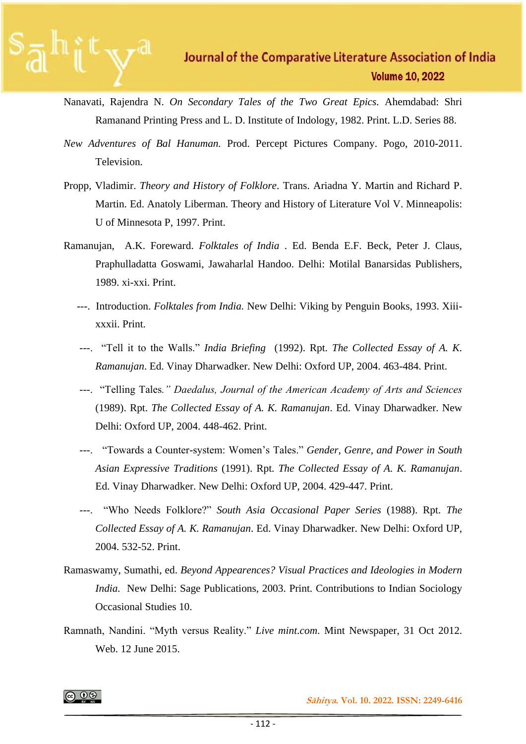- Nanavati, Rajendra N. *On Secondary Tales of the Two Great Epics.* Ahemdabad: Shri Ramanand Printing Press and L. D. Institute of Indology, 1982. Print. L.D. Series 88.
- *New Adventures of Bal Hanuman.* Prod. Percept Pictures Company. Pogo, 2010-2011. Television.
- Propp, Vladimir. *Theory and History of Folklore*. Trans. Ariadna Y. Martin and Richard P. Martin. Ed. Anatoly Liberman. Theory and History of Literature Vol V. Minneapolis: U of Minnesota P, 1997. Print.
- Ramanujan, A.K. Foreward. *Folktales of India* . Ed. Benda E.F. Beck, Peter J. Claus, Praphulladatta Goswami, Jawaharlal Handoo. Delhi: Motilal Banarsidas Publishers, 1989. xi-xxi. Print.
	- ---. Introduction. *Folktales from India.* New Delhi: Viking by Penguin Books, 1993. Xiiixxxii. Print.
	- ---. "Tell it to the Walls." *India Briefing* (1992). Rpt. *The Collected Essay of A. K. Ramanujan*. Ed. Vinay Dharwadker. New Delhi: Oxford UP, 2004. 463-484. Print.
	- ---. "Telling Tales*." Daedalus, Journal of the American Academy of Arts and Sciences*  (1989). Rpt. *The Collected Essay of A. K. Ramanujan*. Ed. Vinay Dharwadker. New Delhi: Oxford UP, 2004. 448-462. Print.
	- ---. "Towards a Counter-system: Women's Tales." *Gender, Genre, and Power in South Asian Expressive Traditions* (1991). Rpt. *The Collected Essay of A. K. Ramanujan*. Ed. Vinay Dharwadker. New Delhi: Oxford UP, 2004. 429-447. Print.
	- ---. "Who Needs Folklore?" *South Asia Occasional Paper Series* (1988). Rpt. *The Collected Essay of A. K. Ramanujan*. Ed. Vinay Dharwadker. New Delhi: Oxford UP, 2004. 532-52. Print.
- Ramaswamy, Sumathi, ed. *Beyond Appearences? Visual Practices and Ideologies in Modern India.* New Delhi: Sage Publications, 2003. Print. Contributions to Indian Sociology Occasional Studies 10.
- Ramnath, Nandini. "Myth versus Reality." *Live mint*.*com*. Mint Newspaper, 31 Oct 2012. Web. 12 June 2015.